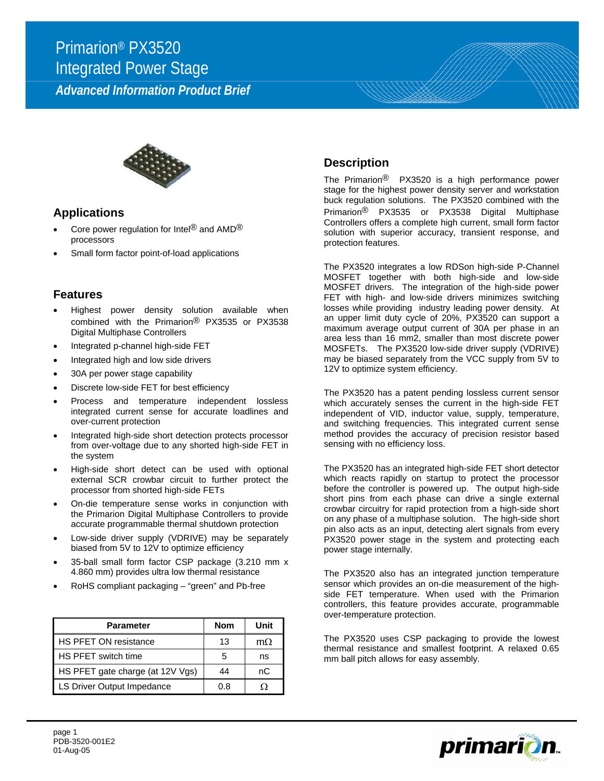# Primarion® PX3520 Integrated Power Stage

*Advanced Information Product Brief* 



#### **Applications**

- Core power regulation for Intel® and AMD® processors
- Small form factor point-of-load applications

#### **Features**

- Highest power density solution available when combined with the Primarion® PX3535 or PX3538 Digital Multiphase Controllers
- Integrated p-channel high-side FET
- Integrated high and low side drivers
- 30A per power stage capability
- Discrete low-side FET for best efficiency
- Process and temperature independent lossless integrated current sense for accurate loadlines and over-current protection
- Integrated high-side short detection protects processor from over-voltage due to any shorted high-side FET in the system
- High-side short detect can be used with optional external SCR crowbar circuit to further protect the processor from shorted high-side FETs
- On-die temperature sense works in conjunction with the Primarion Digital Multiphase Controllers to provide accurate programmable thermal shutdown protection
- Low-side driver supply (VDRIVE) may be separately biased from 5V to 12V to optimize efficiency
- 35-ball small form factor CSP package (3.210 mm x 4.860 mm) provides ultra low thermal resistance
- RoHS compliant packaging "green" and Pb-free

| <b>Parameter</b>                 | <b>Nom</b> | Unit      |
|----------------------------------|------------|-----------|
| HS PFET ON resistance            | 13         | $m\Omega$ |
| HS PFET switch time              |            | ns        |
| HS PFET gate charge (at 12V Vgs) | 44         | nC        |
| LS Driver Output Impedance       | 0.8        | 0         |

### **Description**

The Primarion<sup>®</sup> PX3520 is a high performance power stage for the highest power density server and workstation buck regulation solutions. The PX3520 combined with the Primarion® PX3535 or PX3538 Digital Multiphase Controllers offers a complete high current, small form factor solution with superior accuracy, transient response, and protection features.

The PX3520 integrates a low RDSon high-side P-Channel MOSFET together with both high-side and low-side MOSFET drivers. The integration of the high-side power FET with high- and low-side drivers minimizes switching losses while providing industry leading power density. At an upper limit duty cycle of 20%, PX3520 can support a maximum average output current of 30A per phase in an area less than 16 mm2, smaller than most discrete power MOSFETs. The PX3520 low-side driver supply (VDRIVE) may be biased separately from the VCC supply from 5V to 12V to optimize system efficiency.

The PX3520 has a patent pending lossless current sensor which accurately senses the current in the high-side FET independent of VID, inductor value, supply, temperature, and switching frequencies. This integrated current sense method provides the accuracy of precision resistor based sensing with no efficiency loss.

The PX3520 has an integrated high-side FET short detector which reacts rapidly on startup to protect the processor before the controller is powered up. The output high-side short pins from each phase can drive a single external crowbar circuitry for rapid protection from a high-side short on any phase of a multiphase solution. The high-side short pin also acts as an input, detecting alert signals from every PX3520 power stage in the system and protecting each power stage internally.

The PX3520 also has an integrated junction temperature sensor which provides an on-die measurement of the highside FET temperature. When used with the Primarion controllers, this feature provides accurate, programmable over-temperature protection.

The PX3520 uses CSP packaging to provide the lowest thermal resistance and smallest footprint. A relaxed 0.65 mm ball pitch allows for easy assembly.